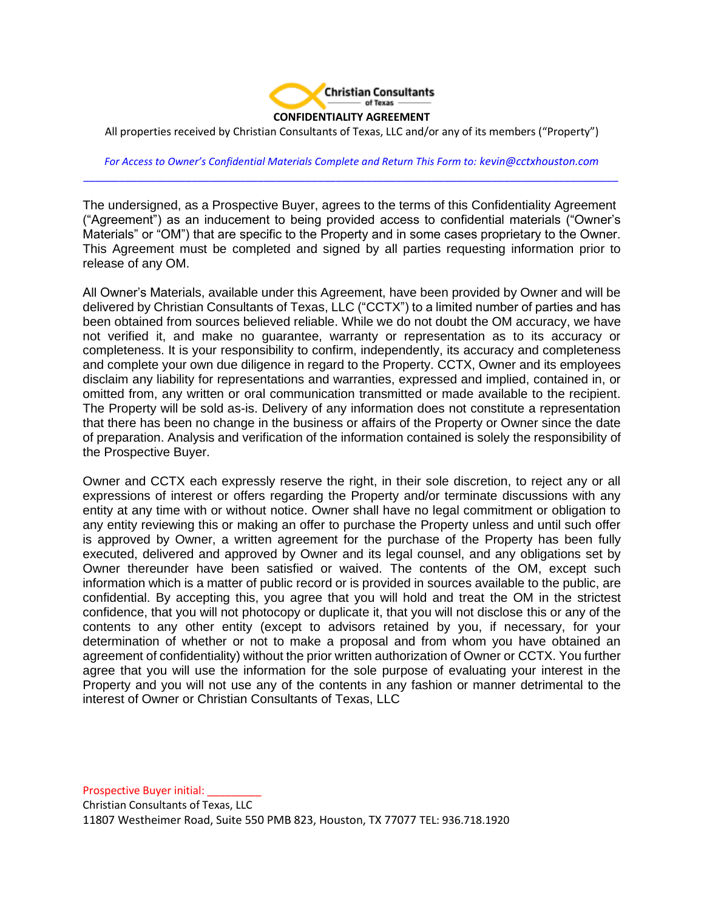

All properties received by Christian Consultants of Texas, LLC and/or any of its members ("Property")

*For Access to Owner's Confidential Materials Complete and Return This Form to: kevin@cctxhouston.com \_\_\_\_\_\_\_\_\_\_\_\_\_\_\_\_\_\_\_\_\_\_\_\_\_\_\_\_\_\_\_\_\_\_\_\_\_\_\_\_\_\_\_\_\_\_\_\_\_\_\_\_\_\_\_\_\_\_\_\_\_\_\_\_\_\_\_\_\_\_\_\_\_\_\_\_\_\_\_\_\_\_\_\_\_\_\_\_\_*

The undersigned, as a Prospective Buyer, agrees to the terms of this Confidentiality Agreement ("Agreement") as an inducement to being provided access to confidential materials ("Owner's Materials" or "OM") that are specific to the Property and in some cases proprietary to the Owner. This Agreement must be completed and signed by all parties requesting information prior to release of any OM.

All Owner's Materials, available under this Agreement, have been provided by Owner and will be delivered by Christian Consultants of Texas, LLC ("CCTX") to a limited number of parties and has been obtained from sources believed reliable. While we do not doubt the OM accuracy, we have not verified it, and make no guarantee, warranty or representation as to its accuracy or completeness. It is your responsibility to confirm, independently, its accuracy and completeness and complete your own due diligence in regard to the Property. CCTX, Owner and its employees disclaim any liability for representations and warranties, expressed and implied, contained in, or omitted from, any written or oral communication transmitted or made available to the recipient. The Property will be sold as-is. Delivery of any information does not constitute a representation that there has been no change in the business or affairs of the Property or Owner since the date of preparation. Analysis and verification of the information contained is solely the responsibility of the Prospective Buyer.

Owner and CCTX each expressly reserve the right, in their sole discretion, to reject any or all expressions of interest or offers regarding the Property and/or terminate discussions with any entity at any time with or without notice. Owner shall have no legal commitment or obligation to any entity reviewing this or making an offer to purchase the Property unless and until such offer is approved by Owner, a written agreement for the purchase of the Property has been fully executed, delivered and approved by Owner and its legal counsel, and any obligations set by Owner thereunder have been satisfied or waived. The contents of the OM, except such information which is a matter of public record or is provided in sources available to the public, are confidential. By accepting this, you agree that you will hold and treat the OM in the strictest confidence, that you will not photocopy or duplicate it, that you will not disclose this or any of the contents to any other entity (except to advisors retained by you, if necessary, for your determination of whether or not to make a proposal and from whom you have obtained an agreement of confidentiality) without the prior written authorization of Owner or CCTX. You further agree that you will use the information for the sole purpose of evaluating your interest in the Property and you will not use any of the contents in any fashion or manner detrimental to the interest of Owner or Christian Consultants of Texas, LLC

Prospective Buyer initial: Christian Consultants of Texas, LLC 11807 Westheimer Road, Suite 550 PMB 823, Houston, TX 77077 TEL: 936.718.1920